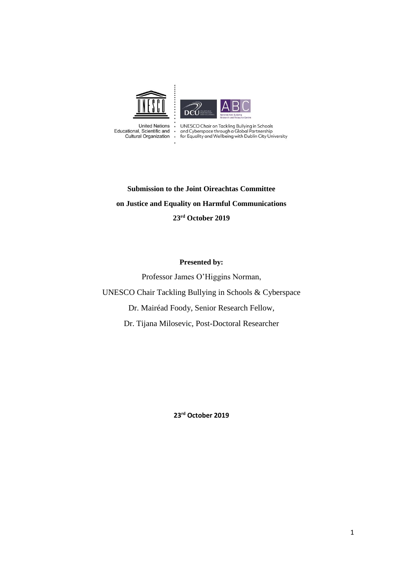

 $\ddot{\phantom{a}}$ 

**United Nations** Educational, Scientific and **Cultural Organization** 

UNESCO Chair on Tackling Bullying in Schools<br>and Cyberspace through a Global Partnership<br>for Equality and Wellbeing with Dublin City University

**Submission to the Joint Oireachtas Committee on Justice and Equality on Harmful Communications 23rd October 2019**

#### **Presented by:**

Professor James O'Higgins Norman, UNESCO Chair Tackling Bullying in Schools & Cyberspace Dr. Mairéad Foody, Senior Research Fellow, Dr. Tijana Milosevic, Post-Doctoral Researcher

**23rd October 2019**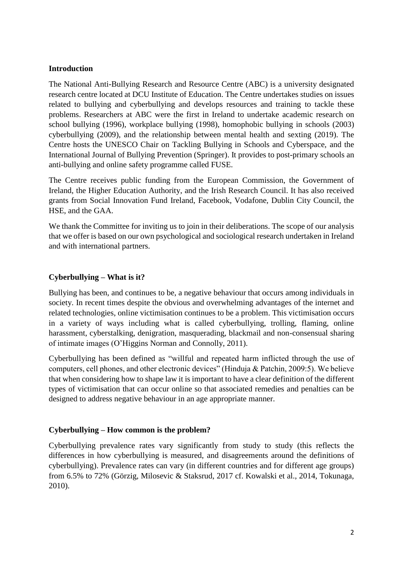### **Introduction**

The National Anti-Bullying Research and Resource Centre (ABC) is a university designated research centre located at DCU Institute of Education. The Centre undertakes studies on issues related to bullying and cyberbullying and develops resources and training to tackle these problems. Researchers at ABC were the first in Ireland to undertake academic research on school bullying (1996), workplace bullying (1998), homophobic bullying in schools (2003) cyberbullying (2009), and the relationship between mental health and sexting (2019). The Centre hosts the UNESCO Chair on Tackling Bullying in Schools and Cyberspace, and the International Journal of Bullying Prevention (Springer). It provides to post-primary schools an anti-bullying and online safety programme called FUSE.

The Centre receives public funding from the European Commission, the Government of Ireland, the Higher Education Authority, and the Irish Research Council. It has also received grants from Social Innovation Fund Ireland, Facebook, Vodafone, Dublin City Council, the HSE, and the GAA.

We thank the Committee for inviting us to join in their deliberations. The scope of our analysis that we offer is based on our own psychological and sociological research undertaken in Ireland and with international partners.

## **Cyberbullying – What is it?**

Bullying has been, and continues to be, a negative behaviour that occurs among individuals in society. In recent times despite the obvious and overwhelming advantages of the internet and related technologies, online victimisation continues to be a problem. This victimisation occurs in a variety of ways including what is called cyberbullying, trolling, flaming, online harassment, cyberstalking, denigration, masquerading, blackmail and non-consensual sharing of intimate images (O'Higgins Norman and Connolly, 2011).

Cyberbullying has been defined as "willful and repeated harm inflicted through the use of computers, cell phones, and other electronic devices" (Hinduja & Patchin, 2009:5). We believe that when considering how to shape law it is important to have a clear definition of the different types of victimisation that can occur online so that associated remedies and penalties can be designed to address negative behaviour in an age appropriate manner.

#### **Cyberbullying – How common is the problem?**

Cyberbullying prevalence rates vary significantly from study to study (this reflects the differences in how cyberbullying is measured, and disagreements around the definitions of cyberbullying). Prevalence rates can vary (in different countries and for different age groups) from 6.5% to 72% (Görzig, Milosevic & Staksrud, 2017 cf. Kowalski et al., 2014, Tokunaga, 2010).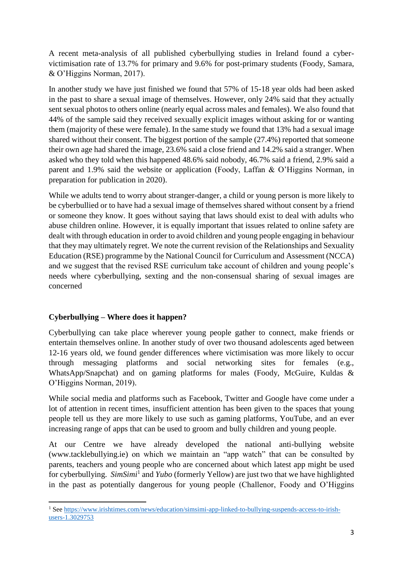A recent meta-analysis of all published cyberbullying studies in Ireland found a cybervictimisation rate of 13.7% for primary and 9.6% for post-primary students (Foody, Samara, & O'Higgins Norman, 2017).

In another study we have just finished we found that 57% of 15-18 year olds had been asked in the past to share a sexual image of themselves. However, only 24% said that they actually sent sexual photos to others online (nearly equal across males and females). We also found that 44% of the sample said they received sexually explicit images without asking for or wanting them (majority of these were female). In the same study we found that 13% had a sexual image shared without their consent. The biggest portion of the sample (27.4%) reported that someone their own age had shared the image, 23.6% said a close friend and 14.2% said a stranger. When asked who they told when this happened 48.6% said nobody, 46.7% said a friend, 2.9% said a parent and 1.9% said the website or application (Foody, Laffan & O'Higgins Norman, in preparation for publication in 2020).

While we adults tend to worry about stranger-danger, a child or young person is more likely to be cyberbullied or to have had a sexual image of themselves shared without consent by a friend or someone they know. It goes without saying that laws should exist to deal with adults who abuse children online. However, it is equally important that issues related to online safety are dealt with through education in order to avoid children and young people engaging in behaviour that they may ultimately regret. We note the current revision of the Relationships and Sexuality Education (RSE) programme by the National Council for Curriculum and Assessment (NCCA) and we suggest that the revised RSE curriculum take account of children and young people's needs where cyberbullying, sexting and the non-consensual sharing of sexual images are concerned

# **Cyberbullying – Where does it happen?**

Cyberbullying can take place wherever young people gather to connect, make friends or entertain themselves online. In another study of over two thousand adolescents aged between 12-16 years old, we found gender differences where victimisation was more likely to occur through messaging platforms and social networking sites for females (e.g., WhatsApp/Snapchat) and on gaming platforms for males (Foody, McGuire, Kuldas & O'Higgins Norman, 2019).

While social media and platforms such as Facebook, Twitter and Google have come under a lot of attention in recent times, insufficient attention has been given to the spaces that young people tell us they are more likely to use such as gaming platforms, YouTube, and an ever increasing range of apps that can be used to groom and bully children and young people.

At our Centre we have already developed the national anti-bullying website (www.tacklebullying.ie) on which we maintain an "app watch" that can be consulted by parents, teachers and young people who are concerned about which latest app might be used for cyberbullying. *SimSimi*<sup>1</sup> and *Yubo* (formerly Yellow) are just two that we have highlighted in the past as potentially dangerous for young people (Challenor, Foody and O'Higgins

**<sup>.</sup>** <sup>1</sup> Se[e https://www.irishtimes.com/news/education/simsimi-app-linked-to-bullying-suspends-access-to-irish](https://www.irishtimes.com/news/education/simsimi-app-linked-to-bullying-suspends-access-to-irish-users-1.3029753)[users-1.3029753](https://www.irishtimes.com/news/education/simsimi-app-linked-to-bullying-suspends-access-to-irish-users-1.3029753)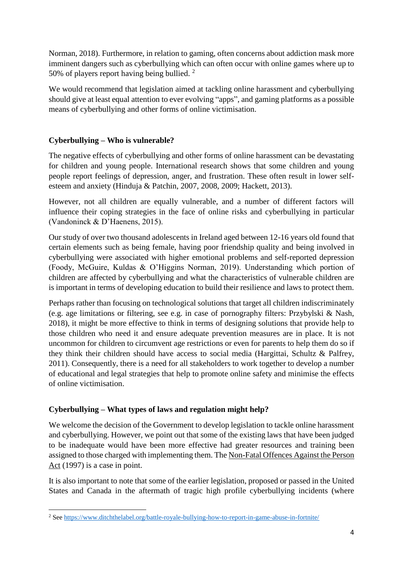Norman, 2018). Furthermore, in relation to gaming, often concerns about addiction mask more imminent dangers such as cyberbullying which can often occur with online games where up to 50% of players report having being bullied.<sup>2</sup>

We would recommend that legislation aimed at tackling online harassment and cyberbullying should give at least equal attention to ever evolving "apps", and gaming platforms as a possible means of cyberbullying and other forms of online victimisation.

# **Cyberbullying – Who is vulnerable?**

The negative effects of cyberbullying and other forms of online harassment can be devastating for children and young people. International research shows that some children and young people report feelings of depression, anger, and frustration. These often result in lower selfesteem and anxiety (Hinduja & Patchin, 2007, 2008, 2009; Hackett, 2013).

However, not all children are equally vulnerable, and a number of different factors will influence their coping strategies in the face of online risks and cyberbullying in particular (Vandoninck & D'Haenens, 2015).

Our study of over two thousand adolescents in Ireland aged between 12-16 years old found that certain elements such as being female, having poor friendship quality and being involved in cyberbullying were associated with higher emotional problems and self-reported depression (Foody, McGuire, Kuldas & O'Higgins Norman, 2019). Understanding which portion of children are affected by cyberbullying and what the characteristics of vulnerable children are is important in terms of developing education to build their resilience and laws to protect them.

Perhaps rather than focusing on technological solutions that target all children indiscriminately (e.g. age limitations or filtering, see e.g. in case of pornography filters: Przybylski & Nash, 2018), it might be more effective to think in terms of designing solutions that provide help to those children who need it and ensure adequate prevention measures are in place. It is not uncommon for children to circumvent age restrictions or even for parents to help them do so if they think their children should have access to social media (Hargittai, Schultz & Palfrey, 2011). Consequently, there is a need for all stakeholders to work together to develop a number of educational and legal strategies that help to promote online safety and minimise the effects of online victimisation.

## **Cyberbullying – What types of laws and regulation might help?**

We welcome the decision of the Government to develop legislation to tackle online harassment and cyberbullying. However, we point out that some of the existing laws that have been judged to be inadequate would have been more effective had greater resources and training been assigned to those charged with implementing them. The Non-Fatal Offences Against the Person Act (1997) is a case in point.

It is also important to note that some of the earlier legislation, proposed or passed in the United States and Canada in the aftermath of tragic high profile cyberbullying incidents (where

**<sup>.</sup>** <sup>2</sup> Se[e https://www.ditchthelabel.org/battle-royale-bullying-how-to-report-in-game-abuse-in-fortnite/](https://www.ditchthelabel.org/battle-royale-bullying-how-to-report-in-game-abuse-in-fortnite/)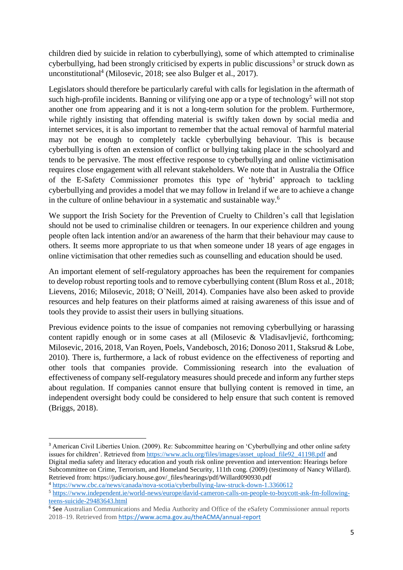children died by suicide in relation to cyberbullying), some of which attempted to criminalise cyberbullying, had been strongly criticised by experts in public discussions<sup>3</sup> or struck down as unconstitutional<sup>4</sup> (Milosevic, 2018; see also Bulger et al., 2017).

Legislators should therefore be particularly careful with calls for legislation in the aftermath of such high-profile incidents. Banning or vilifying one app or a type of technology<sup>5</sup> will not stop another one from appearing and it is not a long-term solution for the problem. Furthermore, while rightly insisting that offending material is swiftly taken down by social media and internet services, it is also important to remember that the actual removal of harmful material may not be enough to completely tackle cyberbullying behaviour. This is because cyberbullying is often an extension of conflict or bullying taking place in the schoolyard and tends to be pervasive. The most effective response to cyberbullying and online victimisation requires close engagement with all relevant stakeholders. We note that in Australia the Office of the E-Safety Commissioner promotes this type of 'hybrid' approach to tackling cyberbullying and provides a model that we may follow in Ireland if we are to achieve a change in the culture of online behaviour in a systematic and sustainable way.<sup>6</sup>

We support the Irish Society for the Prevention of Cruelty to Children's call that legislation should not be used to criminalise children or teenagers. In our experience children and young people often lack intention and/or an awareness of the harm that their behaviour may cause to others. It seems more appropriate to us that when someone under 18 years of age engages in online victimisation that other remedies such as counselling and education should be used.

An important element of self-regulatory approaches has been the requirement for companies to develop robust reporting tools and to remove cyberbullying content (Blum Ross et al., 2018; Lievens, 2016; Milosevic, 2018; O`Neill, 2014). Companies have also been asked to provide resources and help features on their platforms aimed at raising awareness of this issue and of tools they provide to assist their users in bullying situations.

Previous evidence points to the issue of companies not removing cyberbullying or harassing content rapidly enough or in some cases at all (Milosevic & Vladisavljević, forthcoming; Milosevic, 2016, 2018, Van Royen, Poels, Vandebosch, 2016; Donoso 2011, Staksrud & Lobe, 2010). There is, furthermore, a lack of robust evidence on the effectiveness of reporting and other tools that companies provide. Commissioning research into the evaluation of effectiveness of company self-regulatory measures should precede and inform any further steps about regulation. If companies cannot ensure that bullying content is removed in time, an independent oversight body could be considered to help ensure that such content is removed (Briggs, 2018).

**.** 

<sup>&</sup>lt;sup>3</sup> American Civil Liberties Union. (2009). Re: Subcommittee hearing on 'Cyberbullying and other online safety issues for children'. Retrieved from [https://www.aclu.org/files/images/asset\\_upload\\_file92\\_41198.pdf](https://www.aclu.org/files/images/asset_upload_file92_41198.pdf) and Digital media safety and literacy education and youth risk online prevention and intervention: Hearings before Subcommittee on Crime, Terrorism, and Homeland Security, 111th cong. (2009) (testimony of Nancy Willard). Retrieved from: https://judiciary.house.gov/\_files/hearings/pdf/Willard090930.pdf

<sup>4</sup> <https://www.cbc.ca/news/canada/nova-scotia/cyberbullying-law-struck-down-1.3360612>

<sup>5</sup> [https://www.independent.ie/world-news/europe/david-cameron-calls-on-people-to-boycott-ask-fm-following](https://www.independent.ie/world-news/europe/david-cameron-calls-on-people-to-boycott-ask-fm-following-teens-suicide-29483643.html)[teens-suicide-29483643.html](https://www.independent.ie/world-news/europe/david-cameron-calls-on-people-to-boycott-ask-fm-following-teens-suicide-29483643.html)

<sup>&</sup>lt;sup>6</sup> See Australian Communications and Media Authority and Office of the eSafety Commissioner annual reports 2018–19. Retrieved from <https://www.acma.gov.au/theACMA/annual-report>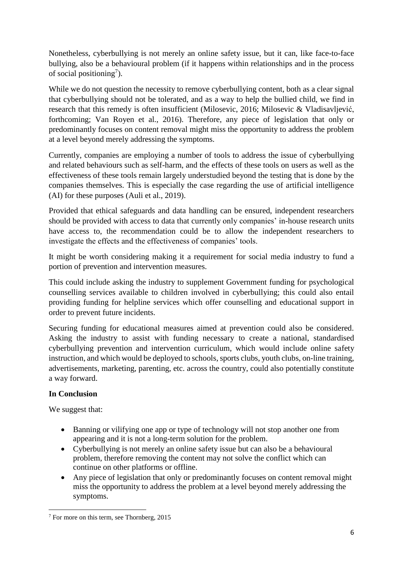Nonetheless, cyberbullying is not merely an online safety issue, but it can, like face-to-face bullying, also be a behavioural problem (if it happens within relationships and in the process of social positioning<sup>7</sup>).

While we do not question the necessity to remove cyberbullying content, both as a clear signal that cyberbullying should not be tolerated, and as a way to help the bullied child, we find in research that this remedy is often insufficient (Milosevic, 2016; Milosevic & Vladisavljević, forthcoming; Van Royen et al., 2016). Therefore, any piece of legislation that only or predominantly focuses on content removal might miss the opportunity to address the problem at a level beyond merely addressing the symptoms.

Currently, companies are employing a number of tools to address the issue of cyberbullying and related behaviours such as self-harm, and the effects of these tools on users as well as the effectiveness of these tools remain largely understudied beyond the testing that is done by the companies themselves. This is especially the case regarding the use of artificial intelligence (AI) for these purposes (Auli et al., 2019).

Provided that ethical safeguards and data handling can be ensured, independent researchers should be provided with access to data that currently only companies' in-house research units have access to, the recommendation could be to allow the independent researchers to investigate the effects and the effectiveness of companies' tools.

It might be worth considering making it a requirement for social media industry to fund a portion of prevention and intervention measures.

This could include asking the industry to supplement Government funding for psychological counselling services available to children involved in cyberbullying; this could also entail providing funding for helpline services which offer counselling and educational support in order to prevent future incidents.

Securing funding for educational measures aimed at prevention could also be considered. Asking the industry to assist with funding necessary to create a national, standardised cyberbullying prevention and intervention curriculum, which would include online safety instruction, and which would be deployed to schools, sports clubs, youth clubs, on-line training, advertisements, marketing, parenting, etc. across the country, could also potentially constitute a way forward.

# **In Conclusion**

We suggest that:

- Banning or vilifying one app or type of technology will not stop another one from appearing and it is not a long-term solution for the problem.
- Cyberbullying is not merely an online safety issue but can also be a behavioural problem, therefore removing the content may not solve the conflict which can continue on other platforms or offline.
- Any piece of legislation that only or predominantly focuses on content removal might miss the opportunity to address the problem at a level beyond merely addressing the symptoms.

**<sup>.</sup>** <sup>7</sup> For more on this term, see Thornberg, 2015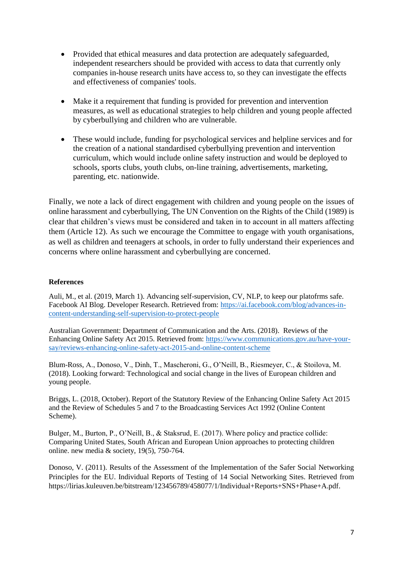- Provided that ethical measures and data protection are adequately safeguarded, independent researchers should be provided with access to data that currently only companies in-house research units have access to, so they can investigate the effects and effectiveness of companies' tools.
- Make it a requirement that funding is provided for prevention and intervention measures, as well as educational strategies to help children and young people affected by cyberbullying and children who are vulnerable.
- These would include, funding for psychological services and helpline services and for the creation of a national standardised cyberbullying prevention and intervention curriculum, which would include online safety instruction and would be deployed to schools, sports clubs, youth clubs, on-line training, advertisements, marketing, parenting, etc. nationwide.

Finally, we note a lack of direct engagement with children and young people on the issues of online harassment and cyberbullying, The UN Convention on the Rights of the Child (1989) is clear that children's views must be considered and taken in to account in all matters affecting them (Article 12). As such we encourage the Committee to engage with youth organisations, as well as children and teenagers at schools, in order to fully understand their experiences and concerns where online harassment and cyberbullying are concerned.

#### **References**

Auli, M., et al. (2019, March 1). Advancing self-supervision, CV, NLP, to keep our platofrms safe. Facebook AI Blog. Developer Research. Retrieved from: [https://ai.facebook.com/blog/advances-in](https://ai.facebook.com/blog/advances-in-content-understanding-self-supervision-to-protect-people)[content-understanding-self-supervision-to-protect-people](https://ai.facebook.com/blog/advances-in-content-understanding-self-supervision-to-protect-people)

Australian Government: Department of Communication and the Arts. (2018). Reviews of the Enhancing Online Safety Act 2015. Retrieved from: [https://www.communications.gov.au/have-your](https://www.communications.gov.au/have-your-say/reviews-enhancing-online-safety-act-2015-and-online-content-scheme)[say/reviews-enhancing-online-safety-act-2015-and-online-content-scheme](https://www.communications.gov.au/have-your-say/reviews-enhancing-online-safety-act-2015-and-online-content-scheme)

Blum-Ross, A., Donoso, V., Dinh, T., Mascheroni, G., O'Neill, B., Riesmeyer, C., & Stoilova, M. (2018). Looking forward: Technological and social change in the lives of European children and young people.

Briggs, L. (2018, October). Report of the Statutory Review of the Enhancing Online Safety Act 2015 and the Review of Schedules 5 and 7 to the Broadcasting Services Act 1992 (Online Content Scheme).

Bulger, M., Burton, P., O'Neill, B., & Staksrud, E. (2017). Where policy and practice collide: Comparing United States, South African and European Union approaches to protecting children online. new media  $&$  society, 19(5), 750-764.

Donoso, V. (2011). Results of the Assessment of the Implementation of the Safer Social Networking Principles for the EU. Individual Reports of Testing of 14 Social Networking Sites. Retrieved from https://lirias.kuleuven.be/bitstream/123456789/458077/1/Individual+Reports+SNS+Phase+A.pdf.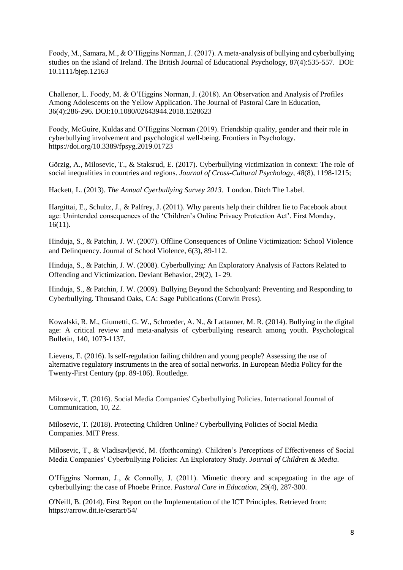Foody, M., Samara, M., & O'Higgins Norman, J. (2017). A meta-analysis of bullying and cyberbullying studies on the island of Ireland. The British Journal of Educational Psychology, 87(4):535-557. DOI: 10.1111/bjep.12163

Challenor, L. Foody, M. & O'Higgins Norman, J. (2018). An Observation and Analysis of Profiles Among Adolescents on the Yellow Application. The Journal of Pastoral Care in Education, 36(4):286-296. DOI:10.1080/02643944.2018.1528623

Foody, McGuire, Kuldas and O'Higgins Norman (2019). Friendship quality, gender and their role in cyberbullying involvement and psychological well-being. Frontiers in Psychology. https://doi.org/10.3389/fpsyg.2019.01723

Görzig, A., Milosevic, T., & Staksrud, E. (2017). Cyberbullying victimization in context: The role of social inequalities in countries and regions. *Journal of Cross-Cultural Psychology*, *48*(8), 1198-1215;

Hackett, L. (2013). *The Annual Cyerbullying Survey 2013*. London. Ditch The Label.

Hargittai, E., Schultz, J., & Palfrey, J. (2011). Why parents help their children lie to Facebook about age: Unintended consequences of the 'Children's Online Privacy Protection Act'. First Monday, 16(11).

Hinduja, S., & Patchin, J. W. (2007). Offline Consequences of Online Victimization: School Violence and Delinquency. Journal of School Violence, 6(3), 89-112.

Hinduja, S., & Patchin, J. W. (2008). Cyberbullying: An Exploratory Analysis of Factors Related to Offending and Victimization. Deviant Behavior, 29(2), 1- 29.

Hinduja, S., & Patchin, J. W. (2009). Bullying Beyond the Schoolyard: Preventing and Responding to Cyberbullying. Thousand Oaks, CA: Sage Publications (Corwin Press).

Kowalski, R. M., Giumetti, G. W., Schroeder, A. N., & Lattanner, M. R. (2014). Bullying in the digital age: A critical review and meta-analysis of cyberbullying research among youth. Psychological Bulletin, 140, 1073-1137.

Lievens, E. (2016). Is self-regulation failing children and young people? Assessing the use of alternative regulatory instruments in the area of social networks. In European Media Policy for the Twenty-First Century (pp. 89-106). Routledge.

Milosevic, T. (2016). Social Media Companies' Cyberbullying Policies. International Journal of Communication, 10, 22.

Milosevic, T. (2018). Protecting Children Online? Cyberbullying Policies of Social Media Companies. MIT Press.

Milosevic, T., & Vladisavljević, M. (forthcoming). Children's Perceptions of Effectiveness of Social Media Companies' Cyberbullying Policies: An Exploratory Study*. Journal of Children & Media*.

O'Higgins Norman, J., & Connolly, J. (2011). Mimetic theory and scapegoating in the age of cyberbullying: the case of Phoebe Prince. *Pastoral Care in Education,* 29(4), 287-300.

O'Neill, B. (2014). First Report on the Implementation of the ICT Principles. Retrieved from: https://arrow.dit.ie/cserart/54/